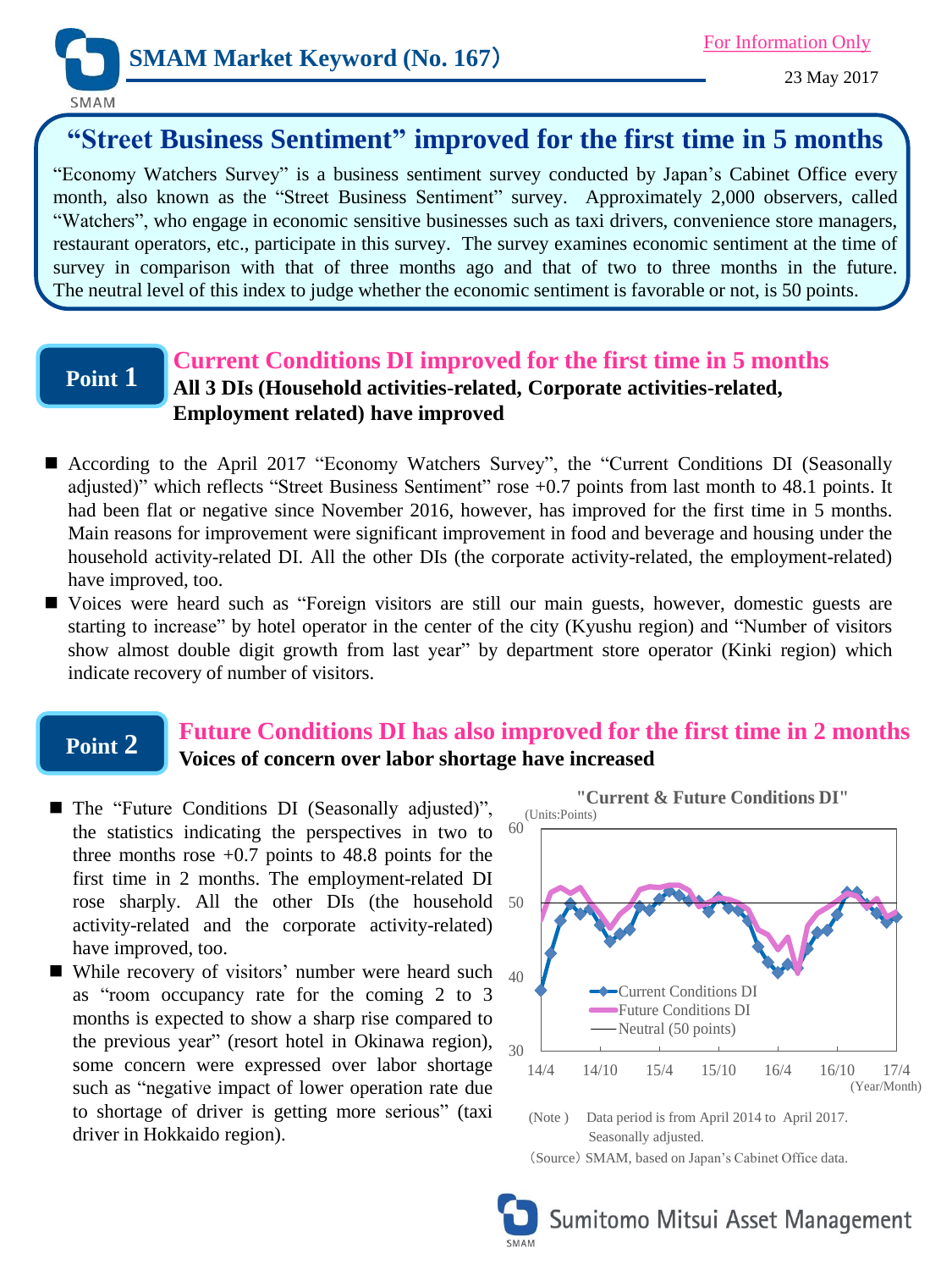

**SMAM** 

# **"Street Business Sentiment" improved for the first time in 5 months**

"Economy Watchers Survey" is a business sentiment survey conducted by Japan's Cabinet Office every month, also known as the "Street Business Sentiment" survey. Approximately 2,000 observers, called "Watchers", who engage in economic sensitive businesses such as taxi drivers, convenience store managers, restaurant operators, etc., participate in this survey. The survey examines economic sentiment at the time of survey in comparison with that of three months ago and that of two to three months in the future. The neutral level of this index to judge whether the economic sentiment is favorable or not, is 50 points.

## **Point 1**

#### **Current Conditions DI improved for the first time in 5 months All 3 DIs (Household activities-related, Corporate activities-related, Employment related) have improved**

- According to the April 2017 "Economy Watchers Survey", the "Current Conditions DI (Seasonally adjusted)" which reflects "Street Business Sentiment" rose +0.7 points from last month to 48.1 points. It had been flat or negative since November 2016, however, has improved for the first time in 5 months. Main reasons for improvement were significant improvement in food and beverage and housing under the household activity-related DI. All the other DIs (the corporate activity-related, the employment-related) have improved, too.
- Voices were heard such as "Foreign visitors are still our main guests, however, domestic guests are starting to increase" by hotel operator in the center of the city (Kyushu region) and "Number of visitors show almost double digit growth from last year" by department store operator (Kinki region) which indicate recovery of number of visitors.

### **Point 2**

### **Future Conditions DI has also improved for the first time in 2 months Voices of concern over labor shortage have increased**

- rose sharply. All the other DIs (the household 50 ■ The "Future Conditions DI (Seasonally adjusted)", the statistics indicating the perspectives in two to three months rose  $+0.7$  points to 48.8 points for the first time in 2 months. The employment-related DI activity-related and the corporate activity-related) have improved, too.
- While recovery of visitors' number were heard such  $_{40}$ as "room occupancy rate for the coming 2 to 3 months is expected to show a sharp rise compared to the previous year" (resort hotel in Okinawa region), some concern were expressed over labor shortage such as "negative impact of lower operation rate due to shortage of driver is getting more serious" (taxi driver in Hokkaido region).



Sumitomo Mitsui Asset Management